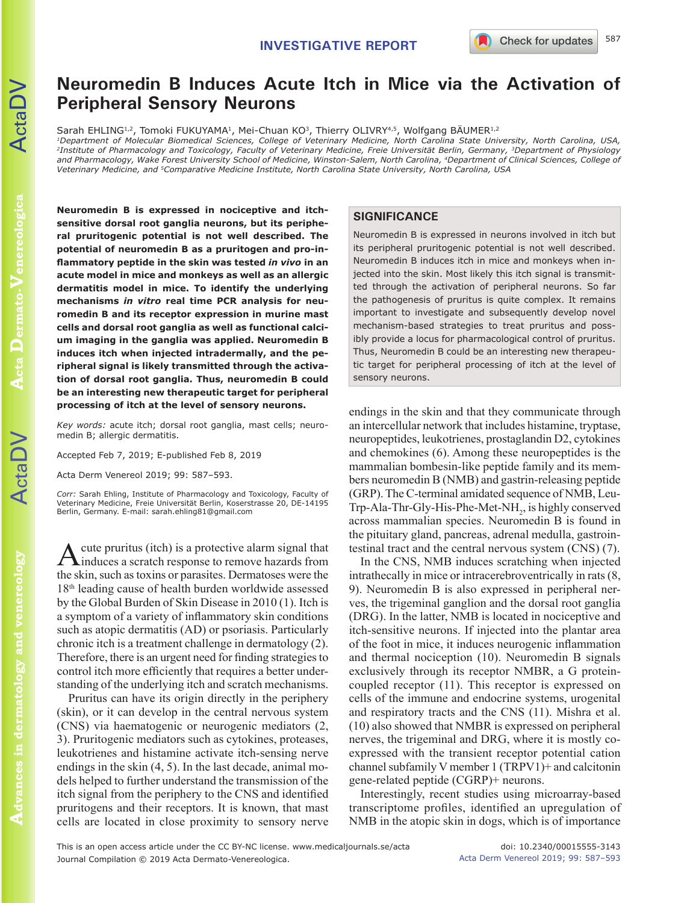# **Neuromedin B Induces Acute Itch in Mice via the Activation of Peripheral Sensory Neurons**

Sarah EHLING<sup>1,2</sup>, Tomoki FUKUYAMA<sup>1</sup>, Mei-Chuan KO<sup>3</sup>, Thierry OLIVRY<sup>4,5</sup>, Wolfgang BÄUMER<sup>1,2</sup>

*1Department of Molecular Biomedical Sciences, College of Veterinary Medicine, North Carolina State University, North Carolina, USA, 2Institute of Pharmacology and Toxicology, Faculty of Veterinary Medicine, Freie Universität Berlin, Germany, 3Department of Physiology and Pharmacology, Wake Forest University School of Medicine, Winston-Salem, North Carolina, 4Department of Clinical Sciences, College of Veterinary Medicine, and 5Comparative Medicine Institute, North Carolina State University, North Carolina, USA*

**Neuromedin B is expressed in nociceptive and itchsensitive dorsal root ganglia neurons, but its peripheral pruritogenic potential is not well described. The potential of neuromedin B as a pruritogen and pro-inflammatory peptide in the skin was tested** *in vivo* **in an acute model in mice and monkeys as well as an allergic dermatitis model in mice. To identify the underlying mechanisms** *in vitro* **real time PCR analysis for neuromedin B and its receptor expression in murine mast cells and dorsal root ganglia as well as functional calcium imaging in the ganglia was applied. Neuromedin B induces itch when injected intradermally, and the peripheral signal is likely transmitted through the activation of dorsal root ganglia. Thus, neuromedin B could be an interesting new therapeutic target for peripheral processing of itch at the level of sensory neurons.** 

*Key words:* acute itch; dorsal root ganglia, mast cells; neuromedin B; allergic dermatitis.

Accepted Feb 7, 2019; E-published Feb 8, 2019

Acta Derm Venereol 2019; 99: 587–593.

*Corr:* Sarah Ehling, Institute of Pharmacology and Toxicology, Faculty of Veterinary Medicine, Freie Universität Berlin, Koserstrasse 20, DE-14195 Berlin, Germany. E-mail: sarah.ehling81@gmail.com

cute pruritus (itch) is a protective alarm signal that induces a scratch response to remove hazards from the skin, such as toxins or parasites. Dermatoses were the 18th leading cause of health burden worldwide assessed by the Global Burden of Skin Disease in 2010 (1). Itch is a symptom of a variety of inflammatory skin conditions such as atopic dermatitis (AD) or psoriasis. Particularly chronic itch is a treatment challenge in dermatology (2). Therefore, there is an urgent need for finding strategies to control itch more efficiently that requires a better understanding of the underlying itch and scratch mechanisms.

Pruritus can have its origin directly in the periphery (skin), or it can develop in the central nervous system (CNS) via haematogenic or neurogenic mediators (2, 3). Pruritogenic mediators such as cytokines, proteases, leukotrienes and histamine activate itch-sensing nerve endings in the skin (4, 5). In the last decade, animal models helped to further understand the transmission of the itch signal from the periphery to the CNS and identified pruritogens and their receptors. It is known, that mast cells are located in close proximity to sensory nerve

## **SIGNIFICANCE**

Neuromedin B is expressed in neurons involved in itch but its peripheral pruritogenic potential is not well described. Neuromedin B induces itch in mice and monkeys when injected into the skin. Most likely this itch signal is transmitted through the activation of peripheral neurons. So far the pathogenesis of pruritus is quite complex. It remains important to investigate and subsequently develop novel mechanism-based strategies to treat pruritus and possibly provide a locus for pharmacological control of pruritus. Thus, Neuromedin B could be an interesting new therapeutic target for peripheral processing of itch at the level of sensory neurons.

endings in the skin and that they communicate through an intercellular network that includes histamine, tryptase, neuropeptides, leukotrienes, prostaglandin D2, cytokines and chemokines (6). Among these neuropeptides is the mammalian bombesin-like peptide family and its members neuromedin B (NMB) and gastrin-releasing peptide (GRP). The C-terminal amidated sequence of NMB, Leu-Trp-Ala-Thr-Gly-His-Phe-Met-NH<sub>2</sub>, is highly conserved across mammalian species. Neuromedin B is found in the pituitary gland, pancreas, adrenal medulla, gastrointestinal tract and the central nervous system (CNS) (7).

In the CNS, NMB induces scratching when injected intrathecally in mice or intracerebroventrically in rats (8, 9). Neuromedin B is also expressed in peripheral nerves, the trigeminal ganglion and the dorsal root ganglia (DRG). In the latter, NMB is located in nociceptive and itch-sensitive neurons. If injected into the plantar area of the foot in mice, it induces neurogenic inflammation and thermal nociception (10). Neuromedin B signals exclusively through its receptor NMBR, a G proteincoupled receptor (11). This receptor is expressed on cells of the immune and endocrine systems, urogenital and respiratory tracts and the CNS (11). Mishra et al. (10) also showed that NMBR is expressed on peripheral nerves, the trigeminal and DRG, where it is mostly coexpressed with the transient receptor potential cation channel subfamily V member 1 (TRPV1)+ and calcitonin gene-related peptide (CGRP)+ neurons.

Interestingly, recent studies using microarray-based transcriptome profiles, identified an upregulation of NMB in the atopic skin in dogs, which is of importance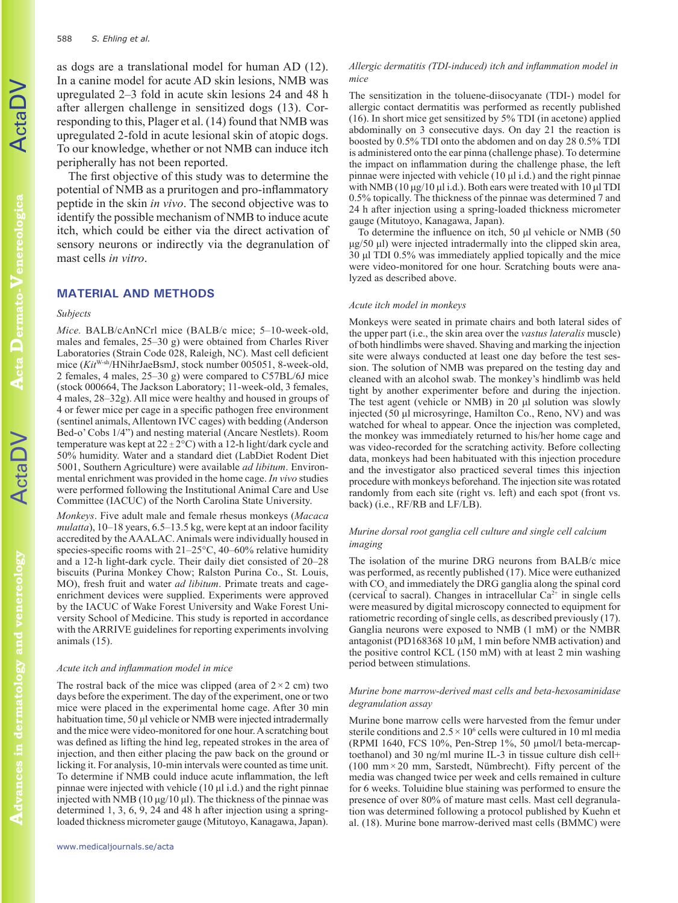as dogs are a translational model for human AD (12). In a canine model for acute AD skin lesions, NMB was upregulated 2–3 fold in acute skin lesions 24 and 48 h after allergen challenge in sensitized dogs (13). Corresponding to this, Plager et al. (14) found that NMB was upregulated 2-fold in acute lesional skin of atopic dogs. To our knowledge, whether or not NMB can induce itch peripherally has not been reported.

The first objective of this study was to determine the potential of NMB as a pruritogen and pro-inflammatory peptide in the skin *in vivo*. The second objective was to identify the possible mechanism of NMB to induce acute itch, which could be either via the direct activation of sensory neurons or indirectly via the degranulation of mast cells *in vitro*.

# **MATERIAL AND METHODS**

#### *Subjects*

*Mice.* BALB/cAnNCrl mice (BALB/c mice; 5–10-week-old, males and females, 25–30 g) were obtained from Charles River Laboratories (Strain Code 028, Raleigh, NC). Mast cell deficient mice (*Kit*W-sh/HNihrJaeBsmJ, stock number 005051, 8-week-old, 2 females, 4 males, 25–30 g) were compared to C57BL/6J mice (stock 000664, The Jackson Laboratory; 11-week-old, 3 females, 4 males, 28–32g). All mice were healthy and housed in groups of 4 or fewer mice per cage in a specific pathogen free environment (sentinel animals, Allentown IVC cages) with bedding (Anderson Bed-o' Cobs 1/4") and nesting material (Ancare Nestlets). Room temperature was kept at  $22 \pm 2$ °C) with a 12-h light/dark cycle and 50% humidity. Water and a standard diet (LabDiet Rodent Diet 5001, Southern Agriculture) were available *ad libitum*. Environmental enrichment was provided in the home cage. *In vivo* studies were performed following the Institutional Animal Care and Use Committee (IACUC) of the North Carolina State University.

*Monkeys*. Five adult male and female rhesus monkeys (*Macaca mulatta*), 10–18 years, 6.5–13.5 kg, were kept at an indoor facility accredited by the AAALAC. Animals were individually housed in species-specific rooms with 21–25°C, 40–60% relative humidity and a 12-h light-dark cycle. Their daily diet consisted of 20–28 biscuits (Purina Monkey Chow; Ralston Purina Co., St. Louis, MO), fresh fruit and water *ad libitum*. Primate treats and cageenrichment devices were supplied. Experiments were approved by the IACUC of Wake Forest University and Wake Forest University School of Medicine. This study is reported in accordance with the ARRIVE guidelines for reporting experiments involving animals (15).

#### *Acute itch and inflammation model in mice*

The rostral back of the mice was clipped (area of  $2 \times 2$  cm) two days before the experiment. The day of the experiment, one or two mice were placed in the experimental home cage. After 30 min habituation time, 50 μl vehicle or NMB were injected intradermally and the mice were video-monitored for one hour. A scratching bout was defined as lifting the hind leg, repeated strokes in the area of injection, and then either placing the paw back on the ground or licking it. For analysis, 10-min intervals were counted as time unit. To determine if NMB could induce acute inflammation, the left pinnae were injected with vehicle (10 μl i.d.) and the right pinnae injected with NMB (10 μg/10 μl). The thickness of the pinnae was determined 1, 3, 6, 9, 24 and 48 h after injection using a springloaded thickness micrometer gauge (Mitutoyo, Kanagawa, Japan).

#### *Allergic dermatitis (TDI-induced) itch and inflammation model in mice*

The sensitization in the toluene-diisocyanate (TDI-) model for allergic contact dermatitis was performed as recently published (16). In short mice get sensitized by 5% TDI (in acetone) applied abdominally on 3 consecutive days. On day 21 the reaction is boosted by 0.5% TDI onto the abdomen and on day 28 0.5% TDI is administered onto the ear pinna (challenge phase). To determine the impact on inflammation during the challenge phase, the left pinnae were injected with vehicle (10 μl i.d.) and the right pinnae with NMB (10  $\mu$ g/10  $\mu$ l i.d.). Both ears were treated with 10  $\mu$ l TDI 0.5% topically. The thickness of the pinnae was determined 7 and 24 h after injection using a spring-loaded thickness micrometer gauge (Mitutoyo, Kanagawa, Japan).

To determine the influence on itch, 50 μl vehicle or NMB (50 μg/50 μl) were injected intradermally into the clipped skin area, 30 μl TDI 0.5% was immediately applied topically and the mice were video-monitored for one hour. Scratching bouts were analyzed as described above.

#### *Acute itch model in monkeys*

Monkeys were seated in primate chairs and both lateral sides of the upper part (i.e., the skin area over the *vastus lateralis* muscle) of both hindlimbs were shaved. Shaving and marking the injection site were always conducted at least one day before the test session. The solution of NMB was prepared on the testing day and cleaned with an alcohol swab. The monkey's hindlimb was held tight by another experimenter before and during the injection. The test agent (vehicle or NMB) in 20 μl solution was slowly injected (50 μl microsyringe, Hamilton Co., Reno, NV) and was watched for wheal to appear. Once the injection was completed, the monkey was immediately returned to his/her home cage and was video-recorded for the scratching activity. Before collecting data, monkeys had been habituated with this injection procedure and the investigator also practiced several times this injection procedure with monkeys beforehand. The injection site was rotated randomly from each site (right vs. left) and each spot (front vs. back) (i.e., RF/RB and LF/LB).

## *Murine dorsal root ganglia cell culture and single cell calcium imaging*

The isolation of the murine DRG neurons from BALB/c mice was performed, as recently published (17). Mice were euthanized with  $CO<sub>2</sub>$  and immediately the DRG ganglia along the spinal cord (cervical to sacral). Changes in intracellular  $Ca^{2+}$  in single cells were measured by digital microscopy connected to equipment for ratiometric recording of single cells, as described previously (17). Ganglia neurons were exposed to NMB (1 mM) or the NMBR antagonist (PD168368 10 µM, 1 min before NMB activation) and the positive control KCL (150 mM) with at least 2 min washing period between stimulations.

#### *Murine bone marrow-derived mast cells and beta-hexosaminidase degranulation assay*

Murine bone marrow cells were harvested from the femur under sterile conditions and  $2.5 \times 10^6$  cells were cultured in 10 ml media (RPMI 1640, FCS 10%, Pen-Strep 1%, 50 µmol/l beta-mercaptoethanol) and 30 ng/ml murine IL-3 in tissue culture dish cell+ (100 mm $\times$ 20 mm, Sarstedt, Nümbrecht). Fifty percent of the media was changed twice per week and cells remained in culture for 6 weeks. Toluidine blue staining was performed to ensure the presence of over 80% of mature mast cells. Mast cell degranulation was determined following a protocol published by Kuehn et al. (18). Murine bone marrow-derived mast cells (BMMC) were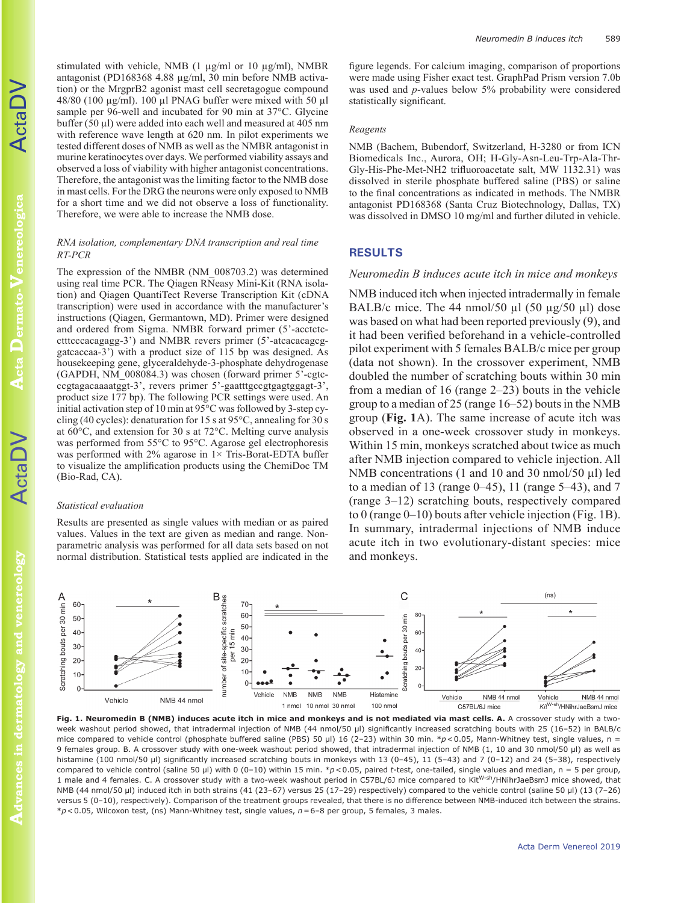cta **Dermato-Venereologica Dermato-Venereologica**

ActaDV

**Advances in dermatology and venereology** Advances in dermatology and venereology stimulated with vehicle, NMB (1  $\mu$ g/ml or 10  $\mu$ g/ml), NMBR antagonist (PD168368 4.88 µg/ml, 30 min before NMB activation) or the MrgprB2 agonist mast cell secretagogue compound 48/80 (100 µg/ml). 100 µl PNAG buffer were mixed with 50 µl sample per 96-well and incubated for 90 min at 37°C. Glycine buffer (50 µl) were added into each well and measured at 405 nm with reference wave length at 620 nm. In pilot experiments we tested different doses of NMB as well as the NMBR antagonist in murine keratinocytes over days. We performed viability assays and observed a loss of viability with higher antagonist concentrations. Therefore, the antagonist was the limiting factor to the NMB dose in mast cells. For the DRG the neurons were only exposed to NMB for a short time and we did not observe a loss of functionality. Therefore, we were able to increase the NMB dose.

## *RNA isolation, complementary DNA transcription and real time RT-PCR*

The expression of the NMBR (NM\_008703.2) was determined using real time PCR. The Qiagen RNeasy Mini-Kit (RNA isolation) and Qiagen QuantiTect Reverse Transcription Kit (cDNA transcription) were used in accordance with the manufacturer's instructions (Qiagen, Germantown, MD). Primer were designed and ordered from Sigma. NMBR forward primer (5'-acctctcctttcccacagagg-3') and NMBR revers primer (5'-atcacacagcggatcaccaa-3') with a product size of 115 bp was designed. As housekeeping gene, glyceraldehyde-3-phosphate dehydrogenase (GAPDH, NM\_008084.3) was chosen (forward primer 5'-cgtcccgtagacaaaatggt-3', revers primer 5'-gaatttgccgtgagtggagt-3', product size 177 bp). The following PCR settings were used. An initial activation step of 10 min at 95°C was followed by 3-step cycling (40 cycles): denaturation for 15 s at 95°C, annealing for 30 s at 60°C, and extension for 30 s at 72°C. Melting curve analysis was performed from 55°C to 95°C. Agarose gel electrophoresis was performed with  $2\%$  agarose in  $1\times$  Tris-Borat-EDTA buffer to visualize the amplification products using the ChemiDoc TM (Bio-Rad, CA).

### *Statistical evaluation*

Results are presented as single values with median or as paired values. Values in the text are given as median and range. Nonparametric analysis was performed for all data sets based on not normal distribution. Statistical tests applied are indicated in the

figure legends. For calcium imaging, comparison of proportions were made using Fisher exact test. GraphPad Prism version 7.0b was used and *p*-values below 5% probability were considered statistically significant.

#### *Reagents*

NMB (Bachem, Bubendorf, Switzerland, H-3280 or from ICN Biomedicals Inc., Aurora, OH; H-Gly-Asn-Leu-Trp-Ala-Thr-Gly-His-Phe-Met-NH2 trifluoroacetate salt, MW 1132.31) was dissolved in sterile phosphate buffered saline (PBS) or saline to the final concentrations as indicated in methods. The NMBR antagonist PD168368 (Santa Cruz Biotechnology, Dallas, TX) was dissolved in DMSO 10 mg/ml and further diluted in vehicle.

## **RESULTS**

## *Neuromedin B induces acute itch in mice and monkeys*

NMB induced itch when injected intradermally in female BALB/c mice. The 44 nmol/50  $\mu$ l (50  $\mu$ g/50  $\mu$ l) dose was based on what had been reported previously (9), and it had been verified beforehand in a vehicle-controlled pilot experiment with 5 females BALB/c mice per group (data not shown). In the crossover experiment, NMB doubled the number of scratching bouts within 30 min from a median of 16 (range 2–23) bouts in the vehicle group to a median of 25 (range 16–52) bouts in the NMB group (**Fig. 1**A). The same increase of acute itch was observed in a one-week crossover study in monkeys. Within 15 min, monkeys scratched about twice as much after NMB injection compared to vehicle injection. All NMB concentrations (1 and 10 and 30 nmol/50 µl) led to a median of 13 (range  $0-45$ ), 11 (range  $5-43$ ), and 7 (range 3–12) scratching bouts, respectively compared to 0 (range 0–10) bouts after vehicle injection (Fig. 1B). In summary, intradermal injections of NMB induce acute itch in two evolutionary-distant species: mice and monkeys.



Fig. 1. Neuromedin B (NMB) induces acute itch in mice and monkeys and is not mediated via mast cells. A. A crossover study with a twoweek washout period showed, that intradermal injection of NMB (44 nmol/50 µl) significantly increased scratching bouts with 25 (16-52) in BALB/c mice compared to vehicle control (phosphate buffered saline (PBS) 50 µl) 16 (2-23) within 30 min. \*p<0.05, Mann-Whitney test, single values, n = 9 females group. B. A crossover study with one-week washout period showed, that intradermal injection of NMB (1, 10 and 30 nmol/50 µl) as well as histamine (100 nmol/50 µl) significantly increased scratching bouts in monkeys with 13 (0-45), 11 (5-43) and 7 (0-12) and 24 (5-38), respectively compared to vehicle control (saline 50 µl) with 0 (0-10) within 15 min. \*p<0.05, paired *t*-test, one-tailed, single values and median, n = 5 per group, 1 male and 4 females. C. A crossover study with a two-week washout period in C57BL/6J mice compared to KitW-sh/HNihrJaeBsmJ mice showed, that NMB (44 nmol/50 µl) induced itch in both strains (41 (23–67) versus 25 (17–29) respectively) compared to the vehicle control (saline 50 µl) (13 (7–26) versus 5 (0–10), respectively). Comparison of the treatment groups revealed, that there is no difference between NMB-induced itch between the strains. \**p*<0.05, Wilcoxon test, (ns) Mann-Whitney test, single values, *n*=6–8 per group, 5 females, 3 males.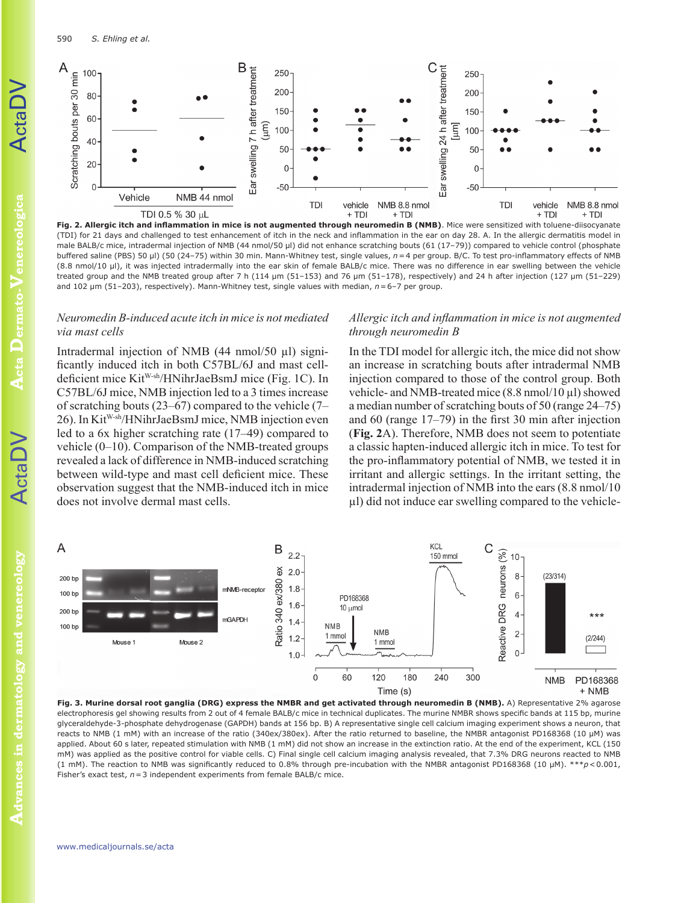590 *S. Ehling et al.*



**Fig. 2. Allergic itch and inflammation in mice is not augmented through neuromedin B (NMB)**. Mice were sensitized with toluene-diisocyanate (TDI) for 21 days and challenged to test enhancement of itch in the neck and inflammation in the ear on day 28. A. In the allergic dermatitis model in male BALB/c mice, intradermal injection of NMB (44 nmol/50 µl) did not enhance scratching bouts (61 (17-79)) compared to vehicle control (phosphate buffered saline (PBS) 50 µl) (50 (24–75) within 30 min. Mann-Whitney test, single values, *n*=4 per group. B/C. To test pro-inflammatory effects of NMB (8.8 nmol/10 µl), it was injected intradermally into the ear skin of female BALB/c mice. There was no difference in ear swelling between the vehicle treated group and the NMB treated group after 7 h (114 µm (51–153) and 76 µm (51–178), respectively) and 24 h after injection (127 µm (51–229) and 102 µm (51–203), respectively). Mann-Whitney test, single values with median, *n*=6–7 per group.

# *Neuromedin B-induced acute itch in mice is not mediated via mast cells*

Intradermal injection of NMB (44 nmol/50 µl) significantly induced itch in both C57BL/6J and mast celldeficient mice Kit<sup>W-sh</sup>/HNihrJaeBsmJ mice (Fig. 1C). In C57BL/6J mice, NMB injection led to a 3 times increase of scratching bouts (23–67) compared to the vehicle (7– 26). In KitW-sh/HNihrJaeBsmJ mice, NMB injection even led to a 6x higher scratching rate (17–49) compared to vehicle (0–10). Comparison of the NMB-treated groups revealed a lack of difference in NMB-induced scratching between wild-type and mast cell deficient mice. These observation suggest that the NMB-induced itch in mice does not involve dermal mast cells.

# *Allergic itch and inflammation in mice is not augmented through neuromedin B*

In the TDI model for allergic itch, the mice did not show an increase in scratching bouts after intradermal NMB injection compared to those of the control group. Both vehicle- and NMB-treated mice (8.8 nmol/10 µl) showed a median number of scratching bouts of 50 (range 24–75) and 60 (range 17–79) in the first 30 min after injection (**Fig. 2**A). Therefore, NMB does not seem to potentiate a classic hapten-induced allergic itch in mice. To test for the pro-inflammatory potential of NMB, we tested it in irritant and allergic settings. In the irritant setting, the intradermal injection of NMB into the ears (8.8 nmol/10 µl) did not induce ear swelling compared to the vehicle-



**Fig. 3. Murine dorsal root ganglia (DRG) express the NMBR and get activated through neuromedin B (NMB).** A) Representative 2% agarose electrophoresis gel showing results from 2 out of 4 female BALB/c mice in technical duplicates. The murine NMBR shows specific bands at 115 bp, murine glyceraldehyde-3-phosphate dehydrogenase (GAPDH) bands at 156 bp. B) A representative single cell calcium imaging experiment shows a neuron, that reacts to NMB (1 mM) with an increase of the ratio (340ex/380ex). After the ratio returned to baseline, the NMBR antagonist PD168368 (10 µM) was applied. About 60 s later, repeated stimulation with NMB (1 mM) did not show an increase in the extinction ratio. At the end of the experiment, KCL (150 mM) was applied as the positive control for viable cells. C) Final single cell calcium imaging analysis revealed, that 7.3% DRG neurons reacted to NMB (1 mM). The reaction to NMB was significantly reduced to 0.8% through pre-incubation with the NMBR antagonist PD168368 (10 µM). \*\*\**p*<0.001, Fisher's exact test, *n*=3 independent experiments from female BALB/c mice.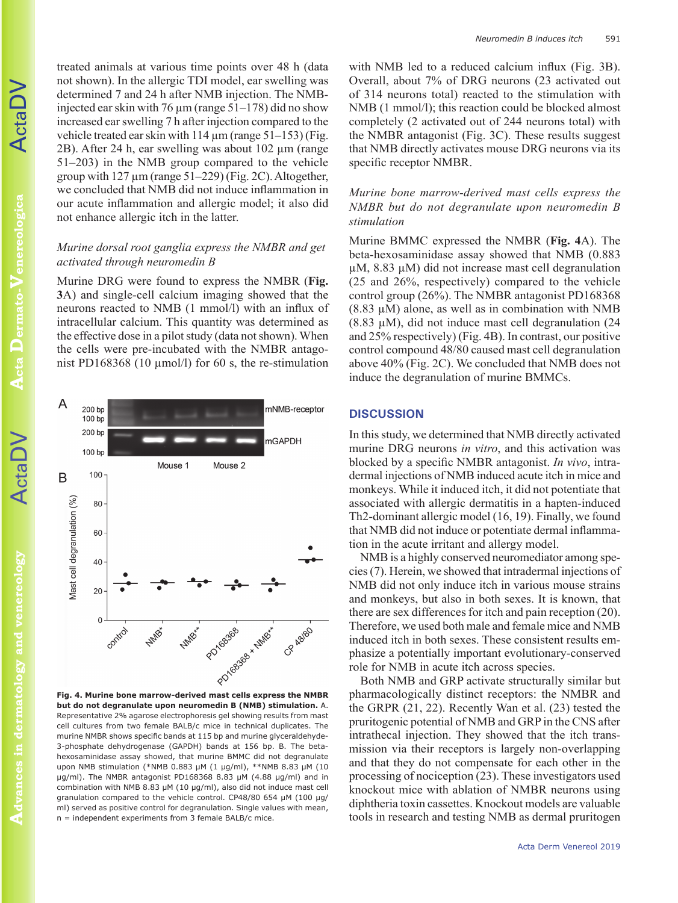ActaDV

**Acta Dermato-Venereologica Dermato-Venereologica**

**ActaDV** 

**Advances in dermatology and venereology** Advances in dermatology and venereology treated animals at various time points over 48 h (data not shown). In the allergic TDI model, ear swelling was determined 7 and 24 h after NMB injection. The NMBinjected ear skin with 76  $\mu$ m (range 51–178) did no show increased ear swelling 7 h after injection compared to the vehicle treated ear skin with  $114 \mu m$  (range  $51-153$ ) (Fig. 2B). After 24 h, ear swelling was about 102 µm (range 51–203) in the NMB group compared to the vehicle group with  $127 \mu m$  (range  $51-229$ ) (Fig. 2C). Altogether, we concluded that NMB did not induce inflammation in our acute inflammation and allergic model; it also did not enhance allergic itch in the latter.

# *Murine dorsal root ganglia express the NMBR and get activated through neuromedin B*

Murine DRG were found to express the NMBR (**Fig. 3**A) and single-cell calcium imaging showed that the neurons reacted to NMB (1 mmol/l) with an influx of intracellular calcium. This quantity was determined as the effective dose in a pilot study (data not shown). When the cells were pre-incubated with the NMBR antagonist PD168368 (10  $\mu$ mol/l) for 60 s, the re-stimulation



**but do not degranulate upon neuromedin B (NMB) stimulation.** A. Representative 2% agarose electrophoresis gel showing results from mast cell cultures from two female BALB/c mice in technical duplicates. The murine NMBR shows specific bands at 115 bp and murine glyceraldehyde-3-phosphate dehydrogenase (GAPDH) bands at 156 bp. B. The betahexosaminidase assay showed, that murine BMMC did not degranulate upon NMB stimulation (\*NMB 0.883 µM (1 µg/ml), \*\*NMB 8.83 µM (10 µg/ml). The NMBR antagonist PD168368 8.83 µM (4.88 µg/ml) and in combination with NMB 8.83 µM (10 µg/ml), also did not induce mast cell granulation compared to the vehicle control. CP48/80 654 µM (100 µg/ ml) served as positive control for degranulation. Single values with mean, n = independent experiments from 3 female BALB/c mice.

with NMB led to a reduced calcium influx (Fig. 3B). Overall, about 7% of DRG neurons (23 activated out of 314 neurons total) reacted to the stimulation with NMB (1 mmol/l); this reaction could be blocked almost completely (2 activated out of 244 neurons total) with the NMBR antagonist (Fig. 3C). These results suggest that NMB directly activates mouse DRG neurons via its specific receptor NMBR.

# *Murine bone marrow-derived mast cells express the NMBR but do not degranulate upon neuromedin B stimulation*

Murine BMMC expressed the NMBR (**Fig. 4**A). The beta-hexosaminidase assay showed that NMB (0.883 µM, 8.83 µM) did not increase mast cell degranulation (25 and 26%, respectively) compared to the vehicle control group (26%). The NMBR antagonist PD168368 (8.83 µM) alone, as well as in combination with NMB (8.83 µM), did not induce mast cell degranulation (24 and 25% respectively) (Fig. 4B). In contrast, our positive control compound 48/80 caused mast cell degranulation above 40% (Fig. 2C). We concluded that NMB does not induce the degranulation of murine BMMCs.

## **DISCUSSION**

In this study, we determined that NMB directly activated murine DRG neurons *in vitro*, and this activation was blocked by a specific NMBR antagonist. *In vivo*, intradermal injections of NMB induced acute itch in mice and monkeys. While it induced itch, it did not potentiate that associated with allergic dermatitis in a hapten-induced Th2-dominant allergic model (16, 19). Finally, we found that NMB did not induce or potentiate dermal inflammation in the acute irritant and allergy model.

NMB is a highly conserved neuromediator among species (7). Herein, we showed that intradermal injections of NMB did not only induce itch in various mouse strains and monkeys, but also in both sexes. It is known, that there are sex differences for itch and pain reception (20). Therefore, we used both male and female mice and NMB induced itch in both sexes. These consistent results emphasize a potentially important evolutionary-conserved role for NMB in acute itch across species.

Both NMB and GRP activate structurally similar but pharmacologically distinct receptors: the NMBR and the GRPR (21, 22). Recently Wan et al. (23) tested the pruritogenic potential of NMB and GRP in the CNS after intrathecal injection. They showed that the itch transmission via their receptors is largely non-overlapping and that they do not compensate for each other in the processing of nociception (23). These investigators used knockout mice with ablation of NMBR neurons using diphtheria toxin cassettes. Knockout models are valuable tools in research and testing NMB as dermal pruritogen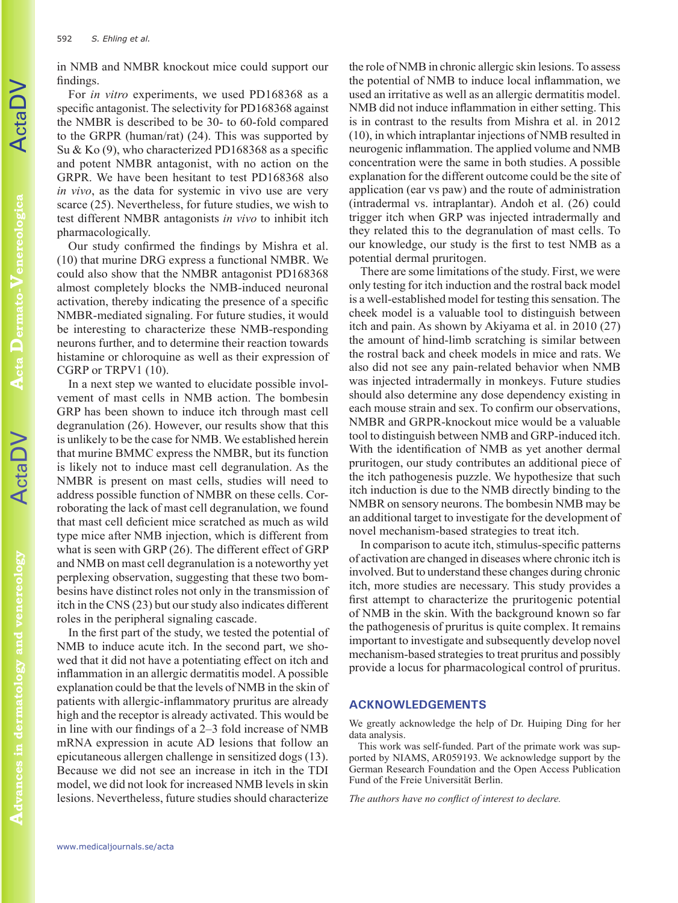For *in vitro* experiments, we used PD168368 as a specific antagonist. The selectivity for PD168368 against the NMBR is described to be 30- to 60-fold compared to the GRPR (human/rat) (24). This was supported by Su & Ko (9), who characterized PD168368 as a specific and potent NMBR antagonist, with no action on the GRPR. We have been hesitant to test PD168368 also *in vivo*, as the data for systemic in vivo use are very scarce (25). Nevertheless, for future studies, we wish to test different NMBR antagonists *in vivo* to inhibit itch pharmacologically.

Our study confirmed the findings by Mishra et al. (10) that murine DRG express a functional NMBR. We could also show that the NMBR antagonist PD168368 almost completely blocks the NMB-induced neuronal activation, thereby indicating the presence of a specific NMBR-mediated signaling. For future studies, it would be interesting to characterize these NMB-responding neurons further, and to determine their reaction towards histamine or chloroquine as well as their expression of CGRP or TRPV1 (10).

In a next step we wanted to elucidate possible involvement of mast cells in NMB action. The bombesin GRP has been shown to induce itch through mast cell degranulation (26). However, our results show that this is unlikely to be the case for NMB. We established herein that murine BMMC express the NMBR, but its function is likely not to induce mast cell degranulation. As the NMBR is present on mast cells, studies will need to address possible function of NMBR on these cells. Corroborating the lack of mast cell degranulation, we found that mast cell deficient mice scratched as much as wild type mice after NMB injection, which is different from what is seen with GRP (26). The different effect of GRP and NMB on mast cell degranulation is a noteworthy yet perplexing observation, suggesting that these two bombesins have distinct roles not only in the transmission of itch in the CNS (23) but our study also indicates different roles in the peripheral signaling cascade.

In the first part of the study, we tested the potential of NMB to induce acute itch. In the second part, we showed that it did not have a potentiating effect on itch and inflammation in an allergic dermatitis model. A possible explanation could be that the levels of NMB in the skin of patients with allergic-inflammatory pruritus are already high and the receptor is already activated. This would be in line with our findings of a 2–3 fold increase of NMB mRNA expression in acute AD lesions that follow an epicutaneous allergen challenge in sensitized dogs (13). Because we did not see an increase in itch in the TDI model, we did not look for increased NMB levels in skin lesions. Nevertheless, future studies should characterize

the role of NMB in chronic allergic skin lesions. To assess the potential of NMB to induce local inflammation, we used an irritative as well as an allergic dermatitis model. NMB did not induce inflammation in either setting. This is in contrast to the results from Mishra et al. in 2012 (10), in which intraplantar injections of NMB resulted in neurogenic inflammation. The applied volume and NMB concentration were the same in both studies. A possible explanation for the different outcome could be the site of application (ear vs paw) and the route of administration (intradermal vs. intraplantar). Andoh et al. (26) could trigger itch when GRP was injected intradermally and they related this to the degranulation of mast cells. To our knowledge, our study is the first to test NMB as a potential dermal pruritogen.

There are some limitations of the study. First, we were only testing for itch induction and the rostral back model is a well-established model for testing this sensation. The cheek model is a valuable tool to distinguish between itch and pain. As shown by Akiyama et al. in 2010 (27) the amount of hind-limb scratching is similar between the rostral back and cheek models in mice and rats. We also did not see any pain-related behavior when NMB was injected intradermally in monkeys. Future studies should also determine any dose dependency existing in each mouse strain and sex. To confirm our observations, NMBR and GRPR-knockout mice would be a valuable tool to distinguish between NMB and GRP-induced itch. With the identification of NMB as yet another dermal pruritogen, our study contributes an additional piece of the itch pathogenesis puzzle. We hypothesize that such itch induction is due to the NMB directly binding to the NMBR on sensory neurons. The bombesin NMB may be an additional target to investigate for the development of novel mechanism-based strategies to treat itch.

In comparison to acute itch, stimulus-specific patterns of activation are changed in diseases where chronic itch is involved. But to understand these changes during chronic itch, more studies are necessary. This study provides a first attempt to characterize the pruritogenic potential of NMB in the skin. With the background known so far the pathogenesis of pruritus is quite complex. It remains important to investigate and subsequently develop novel mechanism-based strategies to treat pruritus and possibly provide a locus for pharmacological control of pruritus.

# **ACKNOWLEDGEMENTS**

We greatly acknowledge the help of Dr. Huiping Ding for her data analysis.

This work was self-funded. Part of the primate work was supported by NIAMS, AR059193. We acknowledge support by the German Research Foundation and the Open Access Publication Fund of the Freie Universität Berlin.

*The authors have no conflict of interest to declare.*